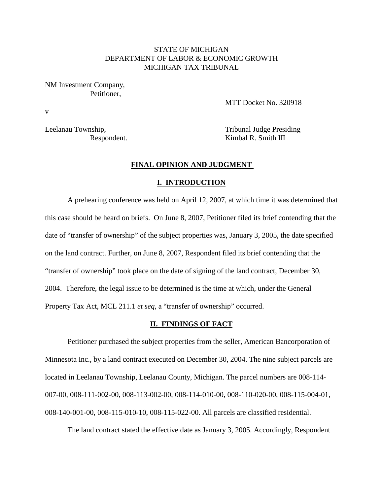### STATE OF MICHIGAN DEPARTMENT OF LABOR & ECONOMIC GROWTH MICHIGAN TAX TRIBUNAL

NM Investment Company, Petitioner,

v

MTT Docket No. 320918

Leelanau Township, Tribunal Judge Presiding Respondent. Kimbal R. Smith III

### **FINAL OPINION AND JUDGMENT**

#### **I. INTRODUCTION**

A prehearing conference was held on April 12, 2007, at which time it was determined that this case should be heard on briefs. On June 8, 2007, Petitioner filed its brief contending that the date of "transfer of ownership" of the subject properties was, January 3, 2005, the date specified on the land contract. Further, on June 8, 2007, Respondent filed its brief contending that the "transfer of ownership" took place on the date of signing of the land contract, December 30, 2004. Therefore, the legal issue to be determined is the time at which, under the General Property Tax Act, MCL 211.1 *et seq,* a "transfer of ownership" occurred.

### **II. FINDINGS OF FACT**

Petitioner purchased the subject properties from the seller, American Bancorporation of Minnesota Inc., by a land contract executed on December 30, 2004. The nine subject parcels are located in Leelanau Township, Leelanau County, Michigan. The parcel numbers are 008-114- 007-00, 008-111-002-00, 008-113-002-00, 008-114-010-00, 008-110-020-00, 008-115-004-01, 008-140-001-00, 008-115-010-10, 008-115-022-00. All parcels are classified residential.

The land contract stated the effective date as January 3, 2005. Accordingly, Respondent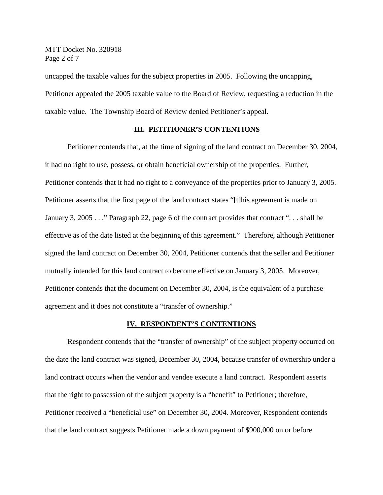MTT Docket No. 320918 Page 2 of 7

uncapped the taxable values for the subject properties in 2005. Following the uncapping, Petitioner appealed the 2005 taxable value to the Board of Review, requesting a reduction in the taxable value. The Township Board of Review denied Petitioner's appeal.

#### **III. PETITIONER'S CONTENTIONS**

Petitioner contends that, at the time of signing of the land contract on December 30, 2004, it had no right to use, possess, or obtain beneficial ownership of the properties. Further, Petitioner contends that it had no right to a conveyance of the properties prior to January 3, 2005. Petitioner asserts that the first page of the land contract states "[t]his agreement is made on January 3, 2005 . . ." Paragraph 22, page 6 of the contract provides that contract ". . . shall be effective as of the date listed at the beginning of this agreement." Therefore, although Petitioner signed the land contract on December 30, 2004, Petitioner contends that the seller and Petitioner mutually intended for this land contract to become effective on January 3, 2005. Moreover, Petitioner contends that the document on December 30, 2004, is the equivalent of a purchase agreement and it does not constitute a "transfer of ownership."

### **IV. RESPONDENT'S CONTENTIONS**

Respondent contends that the "transfer of ownership" of the subject property occurred on the date the land contract was signed, December 30, 2004, because transfer of ownership under a land contract occurs when the vendor and vendee execute a land contract. Respondent asserts that the right to possession of the subject property is a "benefit" to Petitioner; therefore, Petitioner received a "beneficial use" on December 30, 2004. Moreover, Respondent contends that the land contract suggests Petitioner made a down payment of \$900,000 on or before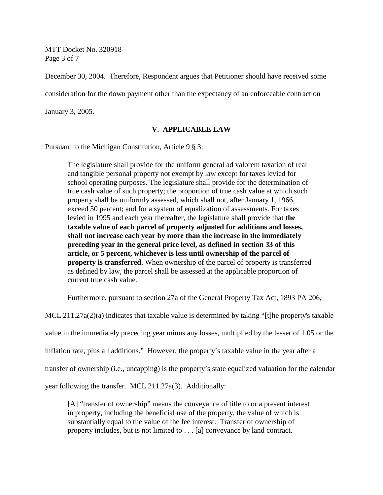MTT Docket No. 320918 Page 3 of 7

December 30, 2004. Therefore, Respondent argues that Petitioner should have received some consideration for the down payment other than the expectancy of an enforceable contract on January 3, 2005.

## **V. APPLICABLE LAW**

Pursuant to the Michigan Constitution, Article 9 § 3:

The legislature shall provide for the uniform general ad valorem taxation of real and tangible personal property not exempt by law except for taxes levied for school operating purposes. The legislature shall provide for the determination of true cash value of such property; the proportion of true cash value at which such property shall be uniformly assessed, which shall not, after January 1, 1966, exceed 50 percent; and for a system of equalization of assessments. For taxes levied in 1995 and each year thereafter, the legislature shall provide that **the taxable value of each parcel of property adjusted for additions and losses, shall not increase each year by more than the increase in the immediately preceding year in the general price level, as defined in section 33 of this article, or 5 percent, whichever is less until ownership of the parcel of property is transferred.** When ownership of the parcel of property is transferred as defined by law, the parcel shall be assessed at the applicable proportion of current true cash value.

Furthermore, pursuant to section 27a of the General Property Tax Act, 1893 PA 206,

MCL 211.27a(2)(a) indicates that taxable value is determined by taking "[t]he property's taxable value in the immediately preceding year minus any losses, multiplied by the lesser of 1.05 or the inflation rate, plus all additions." However, the property's taxable value in the year after a transfer of ownership (i.e., uncapping) is the property's state equalized valuation for the calendar year following the transfer. MCL 211.27a(3). Additionally:

[A] "transfer of ownership" means the conveyance of title to or a present interest in property, including the beneficial use of the property, the value of which is substantially equal to the value of the fee interest. Transfer of ownership of property includes, but is not limited to . . . [a] conveyance by land contract.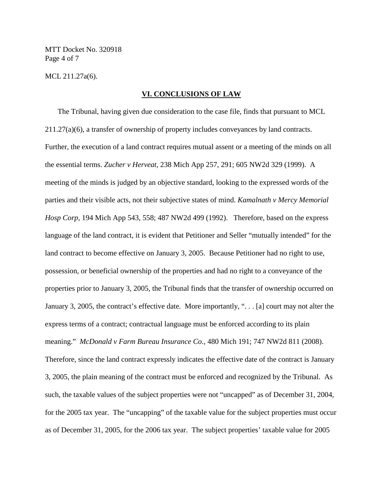MTT Docket No. 320918 Page 4 of 7

MCL 211.27a(6).

#### **VI. CONCLUSIONS OF LAW**

The Tribunal, having given due consideration to the case file, finds that pursuant to MCL 211.27(a)(6), a transfer of ownership of property includes conveyances by land contracts. Further, the execution of a land contract requires mutual assent or a meeting of the minds on all the essential terms. *Zucher v Herveat,* 238 Mich App 257, 291; 605 NW2d 329 (1999). A meeting of the minds is judged by an objective standard, looking to the expressed words of the parties and their visible acts, not their subjective states of mind. *Kamalnath v Mercy Memorial Hosp Corp*, 194 Mich App 543, 558; 487 NW2d 499 (1992). Therefore, based on the express language of the land contract, it is evident that Petitioner and Seller "mutually intended" for the land contract to become effective on January 3, 2005. Because Petitioner had no right to use, possession, or beneficial ownership of the properties and had no right to a conveyance of the properties prior to January 3, 2005, the Tribunal finds that the transfer of ownership occurred on January 3, 2005, the contract's effective date. More importantly, ". . . [a] court may not alter the express terms of a contract; contractual language must be enforced according to its plain meaning." *McDonald v Farm Bureau Insurance Co.*, 480 Mich 191; 747 NW2d 811 (2008). Therefore, since the land contract expressly indicates the effective date of the contract is January 3, 2005, the plain meaning of the contract must be enforced and recognized by the Tribunal. As such, the taxable values of the subject properties were not "uncapped" as of December 31, 2004, for the 2005 tax year. The "uncapping" of the taxable value for the subject properties must occur as of December 31, 2005, for the 2006 tax year. The subject properties' taxable value for 2005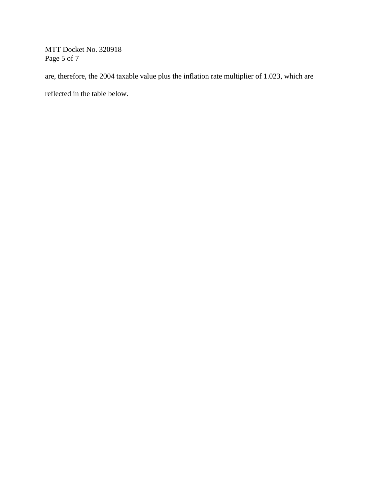MTT Docket No. 320918 Page 5 of 7

are, therefore, the 2004 taxable value plus the inflation rate multiplier of 1.023, which are

reflected in the table below.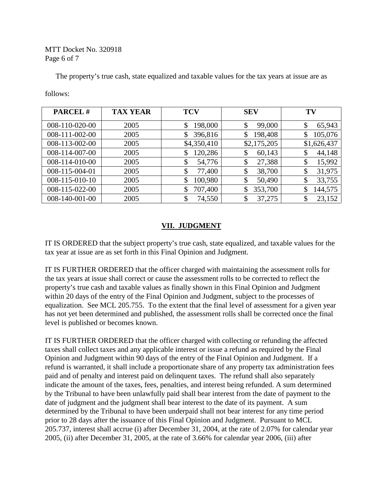## MTT Docket No. 320918 Page 6 of 7

The property's true cash, state equalized and taxable values for the tax years at issue are as

follows:

| <b>PARCEL#</b> | <b>TAX YEAR</b> | <b>TCV</b>    | <b>SEV</b>    | TV           |
|----------------|-----------------|---------------|---------------|--------------|
| 008-110-020-00 | 2005            | 198,000       | 99,000<br>\$  | 65,943<br>\$ |
| 008-111-002-00 | 2005            | 396,816       | 198,408<br>\$ | 105,076      |
| 008-113-002-00 | 2005            | \$4,350,410   | \$2,175,205   | \$1,626,437  |
| 008-114-007-00 | 2005            | 120,286       | 60,143<br>\$  | 44,148<br>\$ |
| 008-114-010-00 | 2005            | 54,776<br>\$  | 27,388<br>\$  | 15,992<br>\$ |
| 008-115-004-01 | 2005            | 77,400<br>\$  | 38,700<br>\$  | 31,975<br>\$ |
| 008-115-010-10 | 2005            | 100,980<br>\$ | 50,490<br>\$  | 33,755<br>\$ |
| 008-115-022-00 | 2005            | 707,400       | 353,700<br>\$ | 144,575      |
| 008-140-001-00 | 2005            | \$<br>74,550  | 37,275<br>\$  | 23,152<br>\$ |

# **VII. JUDGMENT**

IT IS ORDERED that the subject property's true cash, state equalized, and taxable values for the tax year at issue are as set forth in this Final Opinion and Judgment.

IT IS FURTHER ORDERED that the officer charged with maintaining the assessment rolls for the tax years at issue shall correct or cause the assessment rolls to be corrected to reflect the property's true cash and taxable values as finally shown in this Final Opinion and Judgment within 20 days of the entry of the Final Opinion and Judgment, subject to the processes of equalization. See MCL 205.755. To the extent that the final level of assessment for a given year has not yet been determined and published, the assessment rolls shall be corrected once the final level is published or becomes known.

IT IS FURTHER ORDERED that the officer charged with collecting or refunding the affected taxes shall collect taxes and any applicable interest or issue a refund as required by the Final Opinion and Judgment within 90 days of the entry of the Final Opinion and Judgment. If a refund is warranted, it shall include a proportionate share of any property tax administration fees paid and of penalty and interest paid on delinquent taxes. The refund shall also separately indicate the amount of the taxes, fees, penalties, and interest being refunded. A sum determined by the Tribunal to have been unlawfully paid shall bear interest from the date of payment to the date of judgment and the judgment shall bear interest to the date of its payment. A sum determined by the Tribunal to have been underpaid shall not bear interest for any time period prior to 28 days after the issuance of this Final Opinion and Judgment. Pursuant to MCL 205.737, interest shall accrue (i) after December 31, 2004, at the rate of 2.07% for calendar year 2005, (ii) after December 31, 2005, at the rate of 3.66% for calendar year 2006, (iii) after